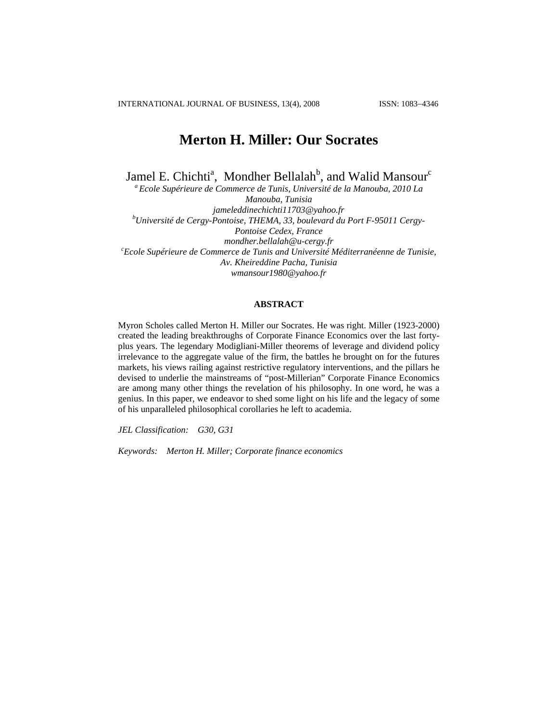# **Merton H. Miller: Our Socrates**

Jamel E. Chichti<sup>a</sup>, Mondher Bellalah<sup>b</sup>, and Walid Mansour<sup>c</sup>

*a Ecole Supérieure de Commerce de Tunis, Université de la Manouba, 2010 La Manouba, Tunisia jameleddinechichti11703@yahoo.fr b Université de Cergy-Pontoise, THEMA, 33, boulevard du Port F-95011 Cergy-Pontoise Cedex, France*  mondher.bellalah@u-cergy.fr<br>Ecole Supérieure de Commerce de Tunis and Université Méditerranéenne de Tunisie, <sup>c</sup> *Av. Kheireddine Pacha, Tunisia wmansour1980@yahoo.fr* 

#### **ABSTRACT**

Myron Scholes called Merton H. Miller our Socrates. He was right. Miller (1923-2000) created the leading breakthroughs of Corporate Finance Economics over the last fortyplus years. The legendary Modigliani-Miller theorems of leverage and dividend policy irrelevance to the aggregate value of the firm, the battles he brought on for the futures markets, his views railing against restrictive regulatory interventions, and the pillars he devised to underlie the mainstreams of "post-Millerian" Corporate Finance Economics are among many other things the revelation of his philosophy. In one word, he was a genius. In this paper, we endeavor to shed some light on his life and the legacy of some of his unparalleled philosophical corollaries he left to academia.

*JEL Classification: G30, G31* 

*Keywords: Merton H. Miller; Corporate finance economics*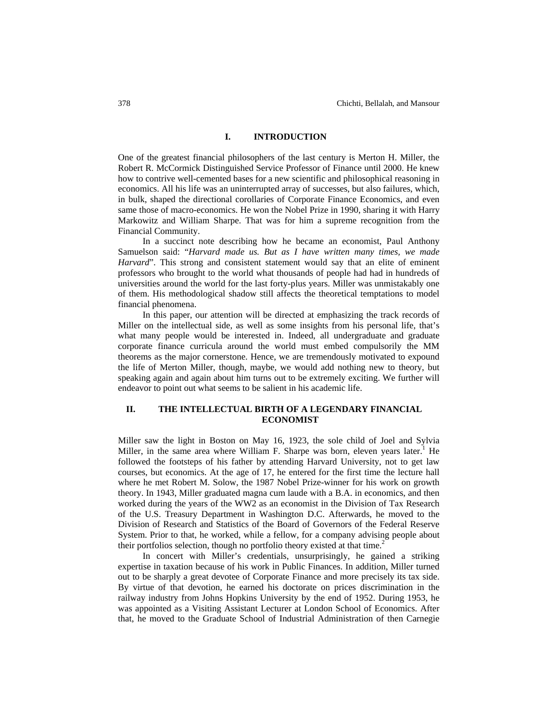## **I. INTRODUCTION**

One of the greatest financial philosophers of the last century is Merton H. Miller, the Robert R. McCormick Distinguished Service Professor of Finance until 2000. He knew how to contrive well-cemented bases for a new scientific and philosophical reasoning in economics. All his life was an uninterrupted array of successes, but also failures, which, in bulk, shaped the directional corollaries of Corporate Finance Economics, and even same those of macro-economics. He won the Nobel Prize in 1990, sharing it with Harry Markowitz and William Sharpe. That was for him a supreme recognition from the Financial Community.

In a succinct note describing how he became an economist, Paul Anthony Samuelson said: "*Harvard made us. But as I have written many times, we made Harvard*". This strong and consistent statement would say that an elite of eminent professors who brought to the world what thousands of people had had in hundreds of universities around the world for the last forty-plus years. Miller was unmistakably one of them. His methodological shadow still affects the theoretical temptations to model financial phenomena.

In this paper, our attention will be directed at emphasizing the track records of Miller on the intellectual side, as well as some insights from his personal life, that's what many people would be interested in. Indeed, all undergraduate and graduate corporate finance curricula around the world must embed compulsorily the MM theorems as the major cornerstone. Hence, we are tremendously motivated to expound the life of Merton Miller, though, maybe, we would add nothing new to theory, but speaking again and again about him turns out to be extremely exciting. We further will endeavor to point out what seems to be salient in his academic life.

## **II. THE INTELLECTUAL BIRTH OF A LEGENDARY FINANCIAL ECONOMIST**

Miller saw the light in Boston on May 16, 1923, the sole child of Joel and Sylvia Miller, in the same area where William F. Sharpe was born, eleven years later.<sup>1</sup> He followed the footsteps of his father by attending Harvard University, not to get law courses, but economics. At the age of 17, he entered for the first time the lecture hall where he met Robert M. Solow, the 1987 Nobel Prize-winner for his work on growth theory. In 1943, Miller graduated magna cum laude with a B.A. in economics, and then worked during the years of the WW2 as an economist in the Division of Tax Research of the U.S. Treasury Department in Washington D.C. Afterwards, he moved to the Division of Research and Statistics of the Board of Governors of the Federal Reserve System. Prior to that, he worked, while a fellow, for a company advising people about their portfolios selection, though no portfolio theory existed at that time.<sup>2</sup>

In concert with Miller's credentials, unsurprisingly, he gained a striking expertise in taxation because of his work in Public Finances. In addition, Miller turned out to be sharply a great devotee of Corporate Finance and more precisely its tax side. By virtue of that devotion, he earned his doctorate on prices discrimination in the railway industry from Johns Hopkins University by the end of 1952. During 1953, he was appointed as a Visiting Assistant Lecturer at London School of Economics. After that, he moved to the Graduate School of Industrial Administration of then Carnegie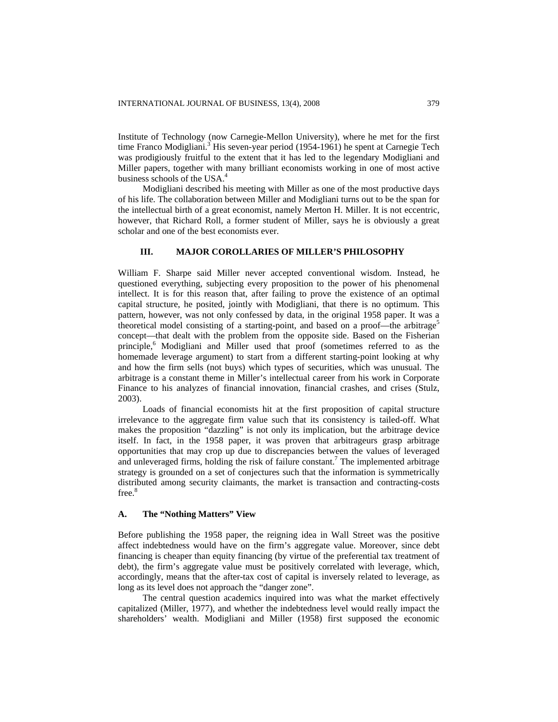Institute of Technology (now Carnegie-Mellon University), where he met for the first time Franco Modigliani.<sup>3</sup> His seven-year period (1954-1961) he spent at Carnegie Tech was prodigiously fruitful to the extent that it has led to the legendary Modigliani and Miller papers, together with many brilliant economists working in one of most active business schools of the USA.<sup>4</sup>

Modigliani described his meeting with Miller as one of the most productive days of his life. The collaboration between Miller and Modigliani turns out to be the span for the intellectual birth of a great economist, namely Merton H. Miller. It is not eccentric, however, that Richard Roll, a former student of Miller, says he is obviously a great scholar and one of the best economists ever.

## **III. MAJOR COROLLARIES OF MILLER'S PHILOSOPHY**

William F. Sharpe said Miller never accepted conventional wisdom. Instead, he questioned everything, subjecting every proposition to the power of his phenomenal intellect. It is for this reason that, after failing to prove the existence of an optimal capital structure, he posited, jointly with Modigliani, that there is no optimum. This pattern, however, was not only confessed by data, in the original 1958 paper. It was a theoretical model consisting of a starting-point, and based on a proof—the arbitrage<sup>5</sup> concept—that dealt with the problem from the opposite side. Based on the Fisherian principle,<sup>6</sup> Modigliani and Miller used that proof (sometimes referred to as the homemade leverage argument) to start from a different starting-point looking at why and how the firm sells (not buys) which types of securities, which was unusual. The arbitrage is a constant theme in Miller's intellectual career from his work in Corporate Finance to his analyzes of financial innovation, financial crashes, and crises (Stulz, 2003).

Loads of financial economists hit at the first proposition of capital structure irrelevance to the aggregate firm value such that its consistency is tailed-off. What makes the proposition "dazzling" is not only its implication, but the arbitrage device itself. In fact, in the 1958 paper, it was proven that arbitrageurs grasp arbitrage opportunities that may crop up due to discrepancies between the values of leveraged and unleveraged firms, holding the risk of failure constant.<sup>7</sup> The implemented arbitrage strategy is grounded on a set of conjectures such that the information is symmetrically distributed among security claimants, the market is transaction and contracting-costs free.<sup>8</sup>

#### **A. The "Nothing Matters" View**

Before publishing the 1958 paper, the reigning idea in Wall Street was the positive affect indebtedness would have on the firm's aggregate value. Moreover, since debt financing is cheaper than equity financing (by virtue of the preferential tax treatment of debt), the firm's aggregate value must be positively correlated with leverage, which, accordingly, means that the after-tax cost of capital is inversely related to leverage, as long as its level does not approach the "danger zone".

The central question academics inquired into was what the market effectively capitalized (Miller, 1977), and whether the indebtedness level would really impact the shareholders' wealth. Modigliani and Miller (1958) first supposed the economic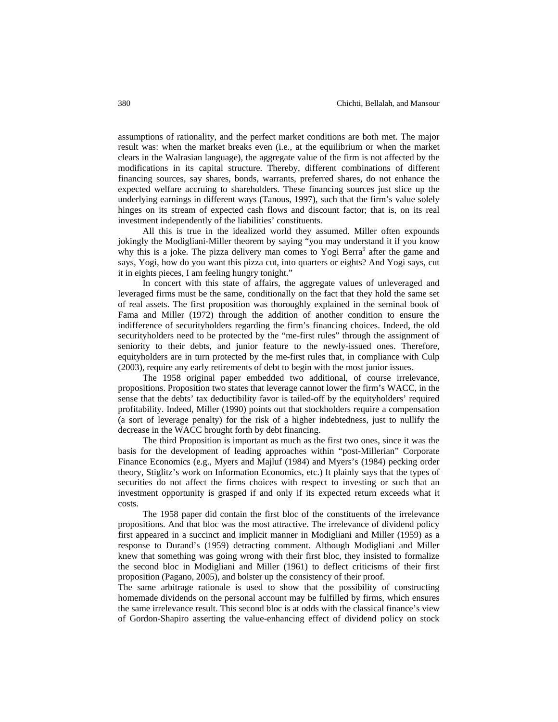assumptions of rationality, and the perfect market conditions are both met. The major result was: when the market breaks even (i.e., at the equilibrium or when the market clears in the Walrasian language), the aggregate value of the firm is not affected by the modifications in its capital structure. Thereby, different combinations of different financing sources, say shares, bonds, warrants, preferred shares, do not enhance the expected welfare accruing to shareholders. These financing sources just slice up the underlying earnings in different ways (Tanous, 1997), such that the firm's value solely hinges on its stream of expected cash flows and discount factor; that is, on its real investment independently of the liabilities' constituents.

All this is true in the idealized world they assumed. Miller often expounds jokingly the Modigliani-Miller theorem by saying "you may understand it if you know why this is a joke. The pizza delivery man comes to Yogi Berra<sup>9</sup> after the game and says, Yogi, how do you want this pizza cut, into quarters or eights? And Yogi says, cut it in eights pieces, I am feeling hungry tonight."

In concert with this state of affairs, the aggregate values of unleveraged and leveraged firms must be the same, conditionally on the fact that they hold the same set of real assets. The first proposition was thoroughly explained in the seminal book of Fama and Miller (1972) through the addition of another condition to ensure the indifference of securityholders regarding the firm's financing choices. Indeed, the old securityholders need to be protected by the "me-first rules" through the assignment of seniority to their debts, and junior feature to the newly-issued ones. Therefore, equityholders are in turn protected by the me-first rules that, in compliance with Culp (2003), require any early retirements of debt to begin with the most junior issues.

The 1958 original paper embedded two additional, of course irrelevance, propositions. Proposition two states that leverage cannot lower the firm's WACC, in the sense that the debts' tax deductibility favor is tailed-off by the equityholders' required profitability. Indeed, Miller (1990) points out that stockholders require a compensation (a sort of leverage penalty) for the risk of a higher indebtedness, just to nullify the decrease in the WACC brought forth by debt financing.

The third Proposition is important as much as the first two ones, since it was the basis for the development of leading approaches within "post-Millerian" Corporate Finance Economics (e.g., Myers and Majluf (1984) and Myers's (1984) pecking order theory, Stiglitz's work on Information Economics, etc.) It plainly says that the types of securities do not affect the firms choices with respect to investing or such that an investment opportunity is grasped if and only if its expected return exceeds what it costs.

The 1958 paper did contain the first bloc of the constituents of the irrelevance propositions. And that bloc was the most attractive. The irrelevance of dividend policy first appeared in a succinct and implicit manner in Modigliani and Miller (1959) as a response to Durand's (1959) detracting comment. Although Modigliani and Miller knew that something was going wrong with their first bloc, they insisted to formalize the second bloc in Modigliani and Miller (1961) to deflect criticisms of their first proposition (Pagano, 2005), and bolster up the consistency of their proof.

The same arbitrage rationale is used to show that the possibility of constructing homemade dividends on the personal account may be fulfilled by firms, which ensures the same irrelevance result. This second bloc is at odds with the classical finance's view of Gordon-Shapiro asserting the value-enhancing effect of dividend policy on stock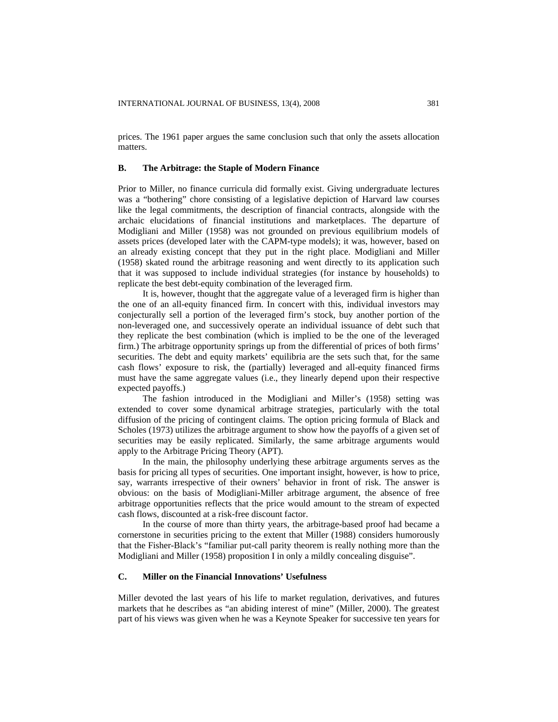prices. The 1961 paper argues the same conclusion such that only the assets allocation matters.

#### **B. The Arbitrage: the Staple of Modern Finance**

Prior to Miller, no finance curricula did formally exist. Giving undergraduate lectures was a "bothering" chore consisting of a legislative depiction of Harvard law courses like the legal commitments, the description of financial contracts, alongside with the archaic elucidations of financial institutions and marketplaces. The departure of Modigliani and Miller (1958) was not grounded on previous equilibrium models of assets prices (developed later with the CAPM-type models); it was, however, based on an already existing concept that they put in the right place. Modigliani and Miller (1958) skated round the arbitrage reasoning and went directly to its application such that it was supposed to include individual strategies (for instance by households) to replicate the best debt-equity combination of the leveraged firm.

It is, however, thought that the aggregate value of a leveraged firm is higher than the one of an all-equity financed firm. In concert with this, individual investors may conjecturally sell a portion of the leveraged firm's stock, buy another portion of the non-leveraged one, and successively operate an individual issuance of debt such that they replicate the best combination (which is implied to be the one of the leveraged firm.) The arbitrage opportunity springs up from the differential of prices of both firms' securities. The debt and equity markets' equilibria are the sets such that, for the same cash flows' exposure to risk, the (partially) leveraged and all-equity financed firms must have the same aggregate values (i.e., they linearly depend upon their respective expected payoffs.)

The fashion introduced in the Modigliani and Miller's (1958) setting was extended to cover some dynamical arbitrage strategies, particularly with the total diffusion of the pricing of contingent claims. The option pricing formula of Black and Scholes (1973) utilizes the arbitrage argument to show how the payoffs of a given set of securities may be easily replicated. Similarly, the same arbitrage arguments would apply to the Arbitrage Pricing Theory (APT).

In the main, the philosophy underlying these arbitrage arguments serves as the basis for pricing all types of securities. One important insight, however, is how to price, say, warrants irrespective of their owners' behavior in front of risk. The answer is obvious: on the basis of Modigliani-Miller arbitrage argument, the absence of free arbitrage opportunities reflects that the price would amount to the stream of expected cash flows, discounted at a risk-free discount factor.

In the course of more than thirty years, the arbitrage-based proof had became a cornerstone in securities pricing to the extent that Miller (1988) considers humorously that the Fisher-Black's "familiar put-call parity theorem is really nothing more than the Modigliani and Miller (1958) proposition I in only a mildly concealing disguise".

## **C. Miller on the Financial Innovations' Usefulness**

Miller devoted the last years of his life to market regulation, derivatives, and futures markets that he describes as "an abiding interest of mine" (Miller, 2000). The greatest part of his views was given when he was a Keynote Speaker for successive ten years for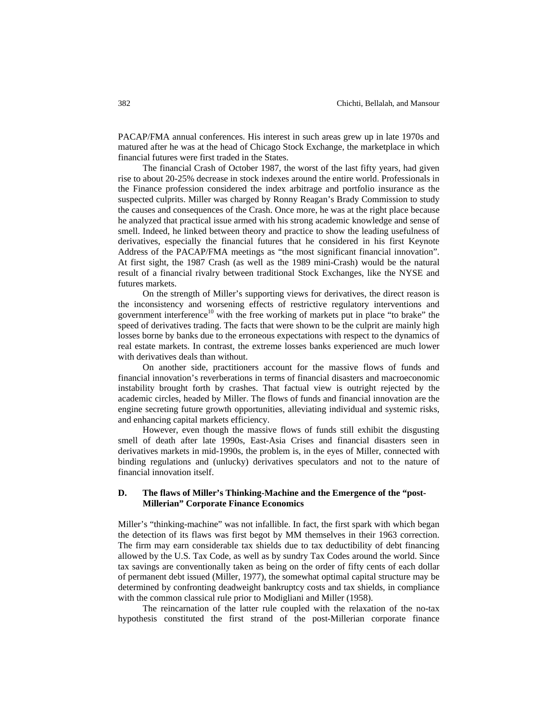PACAP/FMA annual conferences. His interest in such areas grew up in late 1970s and matured after he was at the head of Chicago Stock Exchange, the marketplace in which financial futures were first traded in the States.

The financial Crash of October 1987, the worst of the last fifty years, had given rise to about 20-25% decrease in stock indexes around the entire world. Professionals in the Finance profession considered the index arbitrage and portfolio insurance as the suspected culprits. Miller was charged by Ronny Reagan's Brady Commission to study the causes and consequences of the Crash. Once more, he was at the right place because he analyzed that practical issue armed with his strong academic knowledge and sense of smell. Indeed, he linked between theory and practice to show the leading usefulness of derivatives, especially the financial futures that he considered in his first Keynote Address of the PACAP/FMA meetings as "the most significant financial innovation". At first sight, the 1987 Crash (as well as the 1989 mini-Crash) would be the natural result of a financial rivalry between traditional Stock Exchanges, like the NYSE and futures markets.

On the strength of Miller's supporting views for derivatives, the direct reason is the inconsistency and worsening effects of restrictive regulatory interventions and government interference<sup>10</sup> with the free working of markets put in place "to brake" the speed of derivatives trading. The facts that were shown to be the culprit are mainly high losses borne by banks due to the erroneous expectations with respect to the dynamics of real estate markets. In contrast, the extreme losses banks experienced are much lower with derivatives deals than without.

On another side, practitioners account for the massive flows of funds and financial innovation's reverberations in terms of financial disasters and macroeconomic instability brought forth by crashes. That factual view is outright rejected by the academic circles, headed by Miller. The flows of funds and financial innovation are the engine secreting future growth opportunities, alleviating individual and systemic risks, and enhancing capital markets efficiency.

However, even though the massive flows of funds still exhibit the disgusting smell of death after late 1990s, East-Asia Crises and financial disasters seen in derivatives markets in mid-1990s, the problem is, in the eyes of Miller, connected with binding regulations and (unlucky) derivatives speculators and not to the nature of financial innovation itself.

## **D. The flaws of Miller's Thinking-Machine and the Emergence of the "post-Millerian" Corporate Finance Economics**

Miller's "thinking-machine" was not infallible. In fact, the first spark with which began the detection of its flaws was first begot by MM themselves in their 1963 correction. The firm may earn considerable tax shields due to tax deductibility of debt financing allowed by the U.S. Tax Code, as well as by sundry Tax Codes around the world. Since tax savings are conventionally taken as being on the order of fifty cents of each dollar of permanent debt issued (Miller, 1977), the somewhat optimal capital structure may be determined by confronting deadweight bankruptcy costs and tax shields, in compliance with the common classical rule prior to Modigliani and Miller (1958).

The reincarnation of the latter rule coupled with the relaxation of the no-tax hypothesis constituted the first strand of the post-Millerian corporate finance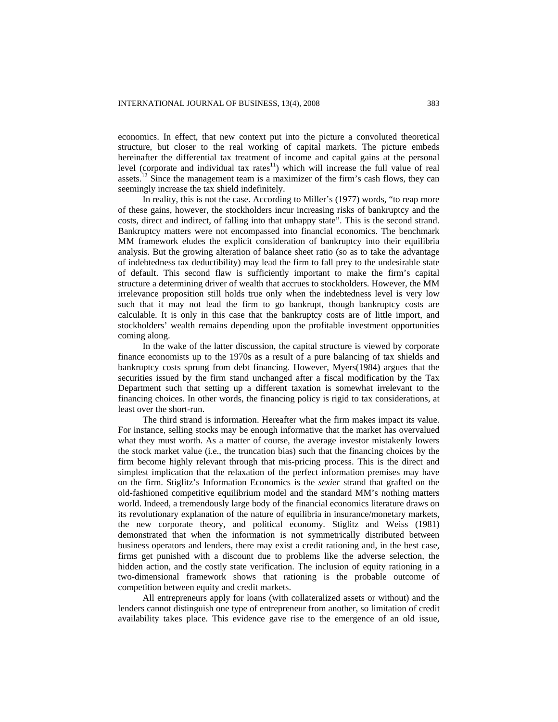economics. In effect, that new context put into the picture a convoluted theoretical structure, but closer to the real working of capital markets. The picture embeds hereinafter the differential tax treatment of income and capital gains at the personal level (corporate and individual tax rates $11$ ) which will increase the full value of real assets.<sup>12</sup> Since the management team is a maximizer of the firm's cash flows, they can seemingly increase the tax shield indefinitely.

In reality, this is not the case. According to Miller's (1977) words, "to reap more of these gains, however, the stockholders incur increasing risks of bankruptcy and the costs, direct and indirect, of falling into that unhappy state". This is the second strand. Bankruptcy matters were not encompassed into financial economics. The benchmark MM framework eludes the explicit consideration of bankruptcy into their equilibria analysis. But the growing alteration of balance sheet ratio (so as to take the advantage of indebtedness tax deductibility) may lead the firm to fall prey to the undesirable state of default. This second flaw is sufficiently important to make the firm's capital structure a determining driver of wealth that accrues to stockholders. However, the MM irrelevance proposition still holds true only when the indebtedness level is very low such that it may not lead the firm to go bankrupt, though bankruptcy costs are calculable. It is only in this case that the bankruptcy costs are of little import, and stockholders' wealth remains depending upon the profitable investment opportunities coming along.

In the wake of the latter discussion, the capital structure is viewed by corporate finance economists up to the 1970s as a result of a pure balancing of tax shields and bankruptcy costs sprung from debt financing. However, Myers(1984) argues that the securities issued by the firm stand unchanged after a fiscal modification by the Tax Department such that setting up a different taxation is somewhat irrelevant to the financing choices. In other words, the financing policy is rigid to tax considerations, at least over the short-run.

The third strand is information. Hereafter what the firm makes impact its value. For instance, selling stocks may be enough informative that the market has overvalued what they must worth. As a matter of course, the average investor mistakenly lowers the stock market value (i.e., the truncation bias) such that the financing choices by the firm become highly relevant through that mis-pricing process. This is the direct and simplest implication that the relaxation of the perfect information premises may have on the firm. Stiglitz's Information Economics is the *sexier* strand that grafted on the old-fashioned competitive equilibrium model and the standard MM's nothing matters world. Indeed, a tremendously large body of the financial economics literature draws on its revolutionary explanation of the nature of equilibria in insurance/monetary markets, the new corporate theory, and political economy. Stiglitz and Weiss (1981) demonstrated that when the information is not symmetrically distributed between business operators and lenders, there may exist a credit rationing and, in the best case, firms get punished with a discount due to problems like the adverse selection, the hidden action, and the costly state verification. The inclusion of equity rationing in a two-dimensional framework shows that rationing is the probable outcome of competition between equity and credit markets.

All entrepreneurs apply for loans (with collateralized assets or without) and the lenders cannot distinguish one type of entrepreneur from another, so limitation of credit availability takes place. This evidence gave rise to the emergence of an old issue,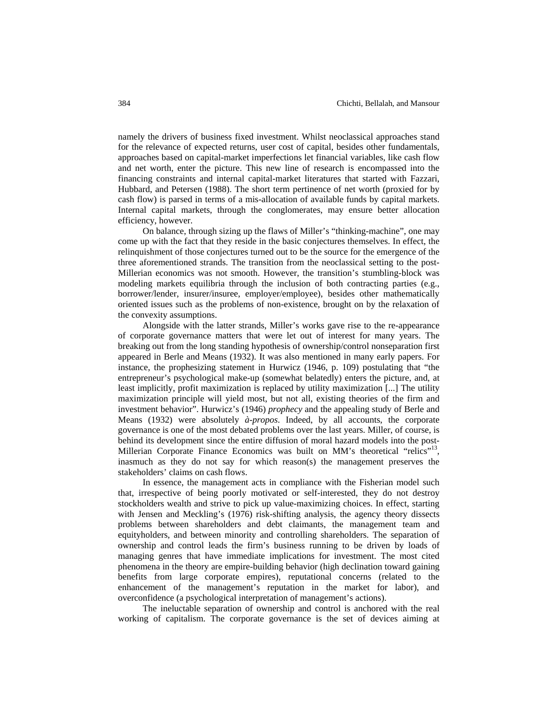namely the drivers of business fixed investment. Whilst neoclassical approaches stand for the relevance of expected returns, user cost of capital, besides other fundamentals, approaches based on capital-market imperfections let financial variables, like cash flow and net worth, enter the picture. This new line of research is encompassed into the financing constraints and internal capital-market literatures that started with Fazzari, Hubbard, and Petersen (1988). The short term pertinence of net worth (proxied for by cash flow) is parsed in terms of a mis-allocation of available funds by capital markets. Internal capital markets, through the conglomerates, may ensure better allocation efficiency, however.

On balance, through sizing up the flaws of Miller's "thinking-machine", one may come up with the fact that they reside in the basic conjectures themselves. In effect, the relinquishment of those conjectures turned out to be the source for the emergence of the three aforementioned strands. The transition from the neoclassical setting to the post-Millerian economics was not smooth. However, the transition's stumbling-block was modeling markets equilibria through the inclusion of both contracting parties (e.g., borrower/lender, insurer/insuree, employer/employee), besides other mathematically oriented issues such as the problems of non-existence, brought on by the relaxation of the convexity assumptions.

Alongside with the latter strands, Miller's works gave rise to the re-appearance of corporate governance matters that were let out of interest for many years. The breaking out from the long standing hypothesis of ownership/control nonseparation first appeared in Berle and Means (1932). It was also mentioned in many early papers. For instance, the prophesizing statement in Hurwicz (1946, p. 109) postulating that "the entrepreneur's psychological make-up (somewhat belatedly) enters the picture, and, at least implicitly, profit maximization is replaced by utility maximization [...] The utility maximization principle will yield most, but not all, existing theories of the firm and investment behavior". Hurwicz's (1946) *prophecy* and the appealing study of Berle and Means (1932) were absolutely *à-propos*. Indeed, by all accounts, the corporate governance is one of the most debated problems over the last years. Miller, of course, is behind its development since the entire diffusion of moral hazard models into the post-Millerian Corporate Finance Economics was built on MM's theoretical "relics"<sup>13</sup>, inasmuch as they do not say for which reason(s) the management preserves the stakeholders' claims on cash flows.

In essence, the management acts in compliance with the Fisherian model such that, irrespective of being poorly motivated or self-interested, they do not destroy stockholders wealth and strive to pick up value-maximizing choices. In effect, starting with Jensen and Meckling's (1976) risk-shifting analysis, the agency theory dissects problems between shareholders and debt claimants, the management team and equityholders, and between minority and controlling shareholders. The separation of ownership and control leads the firm's business running to be driven by loads of managing genres that have immediate implications for investment. The most cited phenomena in the theory are empire-building behavior (high declination toward gaining benefits from large corporate empires), reputational concerns (related to the enhancement of the management's reputation in the market for labor), and overconfidence (a psychological interpretation of management's actions).

The ineluctable separation of ownership and control is anchored with the real working of capitalism. The corporate governance is the set of devices aiming at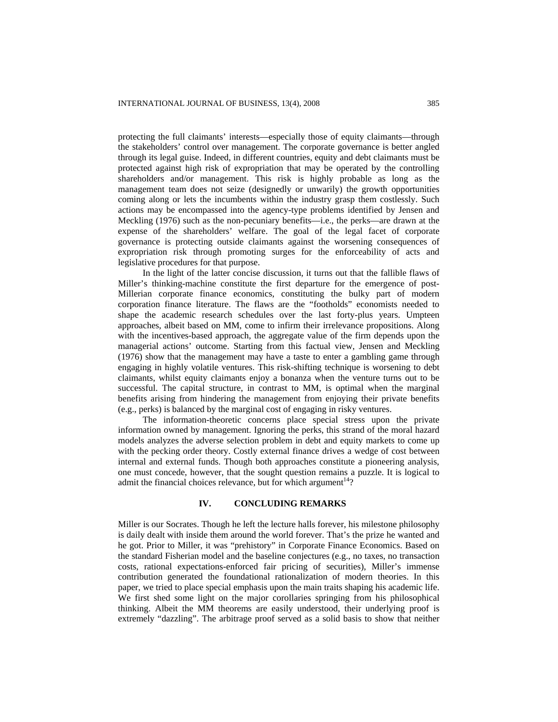protecting the full claimants' interests—especially those of equity claimants—through the stakeholders' control over management. The corporate governance is better angled through its legal guise. Indeed, in different countries, equity and debt claimants must be protected against high risk of expropriation that may be operated by the controlling shareholders and/or management. This risk is highly probable as long as the management team does not seize (designedly or unwarily) the growth opportunities coming along or lets the incumbents within the industry grasp them costlessly. Such actions may be encompassed into the agency-type problems identified by Jensen and Meckling (1976) such as the non-pecuniary benefits—i.e., the perks—are drawn at the expense of the shareholders' welfare. The goal of the legal facet of corporate governance is protecting outside claimants against the worsening consequences of expropriation risk through promoting surges for the enforceability of acts and legislative procedures for that purpose.

In the light of the latter concise discussion, it turns out that the fallible flaws of Miller's thinking-machine constitute the first departure for the emergence of post-Millerian corporate finance economics, constituting the bulky part of modern corporation finance literature. The flaws are the "footholds" economists needed to shape the academic research schedules over the last forty-plus years. Umpteen approaches, albeit based on MM, come to infirm their irrelevance propositions. Along with the incentives-based approach, the aggregate value of the firm depends upon the managerial actions' outcome. Starting from this factual view, Jensen and Meckling (1976) show that the management may have a taste to enter a gambling game through engaging in highly volatile ventures. This risk-shifting technique is worsening to debt claimants, whilst equity claimants enjoy a bonanza when the venture turns out to be successful. The capital structure, in contrast to MM, is optimal when the marginal benefits arising from hindering the management from enjoying their private benefits (e.g., perks) is balanced by the marginal cost of engaging in risky ventures.

The information-theoretic concerns place special stress upon the private information owned by management. Ignoring the perks, this strand of the moral hazard models analyzes the adverse selection problem in debt and equity markets to come up with the pecking order theory. Costly external finance drives a wedge of cost between internal and external funds. Though both approaches constitute a pioneering analysis, one must concede, however, that the sought question remains a puzzle. It is logical to admit the financial choices relevance, but for which argument $14$ ?

## **IV. CONCLUDING REMARKS**

Miller is our Socrates. Though he left the lecture halls forever, his milestone philosophy is daily dealt with inside them around the world forever. That's the prize he wanted and he got. Prior to Miller, it was "prehistory" in Corporate Finance Economics. Based on the standard Fisherian model and the baseline conjectures (e.g., no taxes, no transaction costs, rational expectations-enforced fair pricing of securities), Miller's immense contribution generated the foundational rationalization of modern theories. In this paper, we tried to place special emphasis upon the main traits shaping his academic life. We first shed some light on the major corollaries springing from his philosophical thinking. Albeit the MM theorems are easily understood, their underlying proof is extremely "dazzling". The arbitrage proof served as a solid basis to show that neither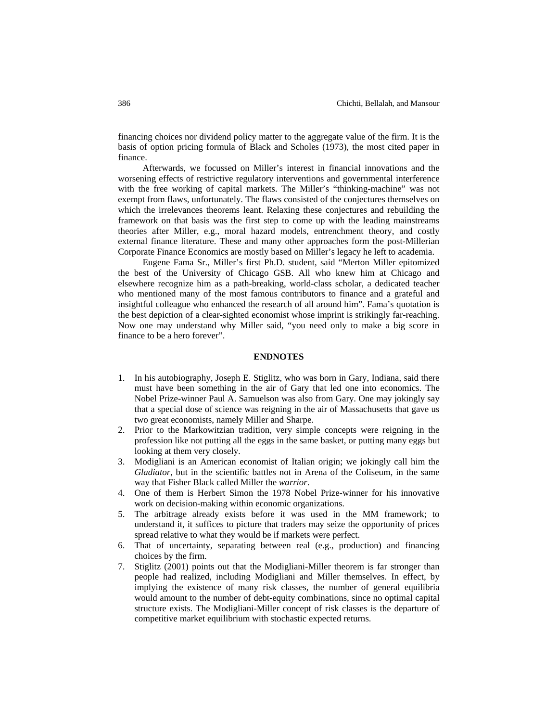financing choices nor dividend policy matter to the aggregate value of the firm. It is the basis of option pricing formula of Black and Scholes (1973), the most cited paper in finance.

Afterwards, we focussed on Miller's interest in financial innovations and the worsening effects of restrictive regulatory interventions and governmental interference with the free working of capital markets. The Miller's "thinking-machine" was not exempt from flaws, unfortunately. The flaws consisted of the conjectures themselves on which the irrelevances theorems leant. Relaxing these conjectures and rebuilding the framework on that basis was the first step to come up with the leading mainstreams theories after Miller, e.g., moral hazard models, entrenchment theory, and costly external finance literature. These and many other approaches form the post-Millerian Corporate Finance Economics are mostly based on Miller's legacy he left to academia.

Eugene Fama Sr., Miller's first Ph.D. student, said "Merton Miller epitomized the best of the University of Chicago GSB. All who knew him at Chicago and elsewhere recognize him as a path-breaking, world-class scholar, a dedicated teacher who mentioned many of the most famous contributors to finance and a grateful and insightful colleague who enhanced the research of all around him". Fama's quotation is the best depiction of a clear-sighted economist whose imprint is strikingly far-reaching. Now one may understand why Miller said, "you need only to make a big score in finance to be a hero forever".

## **ENDNOTES**

- 1. In his autobiography, Joseph E. Stiglitz, who was born in Gary, Indiana, said there must have been something in the air of Gary that led one into economics. The Nobel Prize-winner Paul A. Samuelson was also from Gary. One may jokingly say that a special dose of science was reigning in the air of Massachusetts that gave us two great economists, namely Miller and Sharpe.
- 2. Prior to the Markowitzian tradition, very simple concepts were reigning in the profession like not putting all the eggs in the same basket, or putting many eggs but looking at them very closely.
- 3. Modigliani is an American economist of Italian origin; we jokingly call him the *Gladiator*, but in the scientific battles not in Arena of the Coliseum, in the same way that Fisher Black called Miller the *warrior*.
- 4. One of them is Herbert Simon the 1978 Nobel Prize-winner for his innovative work on decision-making within economic organizations.
- 5. The arbitrage already exists before it was used in the MM framework; to understand it, it suffices to picture that traders may seize the opportunity of prices spread relative to what they would be if markets were perfect.
- 6. That of uncertainty, separating between real (e.g., production) and financing choices by the firm.
- 7. Stiglitz (2001) points out that the Modigliani-Miller theorem is far stronger than people had realized, including Modigliani and Miller themselves. In effect, by implying the existence of many risk classes, the number of general equilibria would amount to the number of debt-equity combinations, since no optimal capital structure exists. The Modigliani-Miller concept of risk classes is the departure of competitive market equilibrium with stochastic expected returns.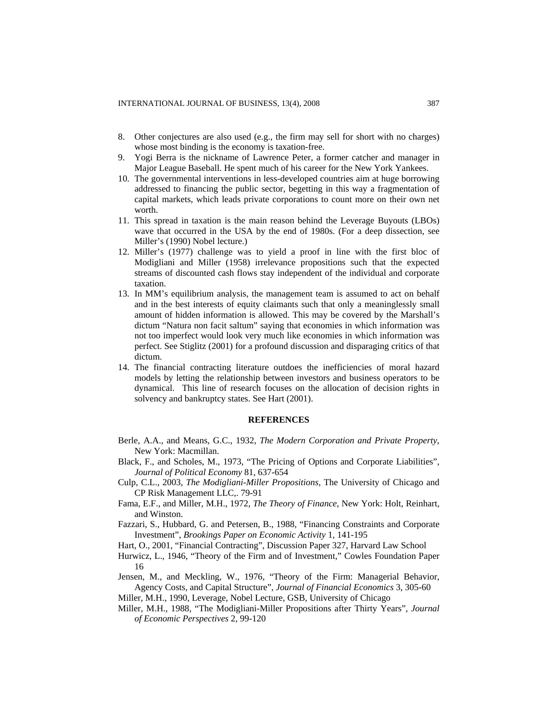- 8. Other conjectures are also used (e.g., the firm may sell for short with no charges) whose most binding is the economy is taxation-free.
- 9. Yogi Berra is the nickname of Lawrence Peter, a former catcher and manager in Major League Baseball. He spent much of his career for the New York Yankees.
- 10. The governmental interventions in less-developed countries aim at huge borrowing addressed to financing the public sector, begetting in this way a fragmentation of capital markets, which leads private corporations to count more on their own net worth.
- 11. This spread in taxation is the main reason behind the Leverage Buyouts (LBOs) wave that occurred in the USA by the end of 1980s. (For a deep dissection, see Miller's (1990) Nobel lecture.)
- 12. Miller's (1977) challenge was to yield a proof in line with the first bloc of Modigliani and Miller (1958) irrelevance propositions such that the expected streams of discounted cash flows stay independent of the individual and corporate taxation.
- 13. In MM's equilibrium analysis, the management team is assumed to act on behalf and in the best interests of equity claimants such that only a meaninglessly small amount of hidden information is allowed. This may be covered by the Marshall's dictum "Natura non facit saltum" saying that economies in which information was not too imperfect would look very much like economies in which information was perfect. See Stiglitz (2001) for a profound discussion and disparaging critics of that dictum.
- 14. The financial contracting literature outdoes the inefficiencies of moral hazard models by letting the relationship between investors and business operators to be dynamical. This line of research focuses on the allocation of decision rights in solvency and bankruptcy states. See Hart (2001).

#### **REFERENCES**

- Berle, A.A., and Means, G.C., 1932, *The Modern Corporation and Private Property*, New York: Macmillan.
- Black, F., and Scholes, M., 1973, "The Pricing of Options and Corporate Liabilities", *Journal of Political Economy* 81, 637-654
- Culp, C.L., 2003, *The Modigliani-Miller Propositions*, The University of Chicago and CP Risk Management LLC,. 79-91
- Fama, E.F., and Miller, M.H., 1972, *The Theory of Finance*, New York: Holt, Reinhart, and Winston.
- Fazzari, S., Hubbard, G. and Petersen, B., 1988, "Financing Constraints and Corporate Investment", *Brookings Paper on Economic Activity* 1, 141-195
- Hart, O., 2001, "Financial Contracting", Discussion Paper 327, Harvard Law School
- Hurwicz, L., 1946, "Theory of the Firm and of Investment," Cowles Foundation Paper 16
- Jensen, M., and Meckling, W., 1976, "Theory of the Firm: Managerial Behavior, Agency Costs, and Capital Structure", *Journal of Financial Economics* 3, 305-60

Miller, M.H., 1990, Leverage, Nobel Lecture, GSB, University of Chicago

Miller, M.H., 1988, "The Modigliani-Miller Propositions after Thirty Years", *Journal of Economic Perspectives* 2, 99-120